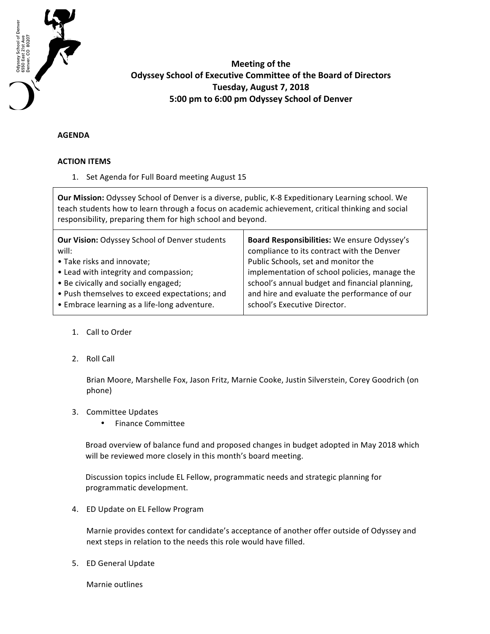

# **Meeting of the Odyssey School of Executive Committee of the Board of Directors Tuesday, August 7, 2018 5:00 pm to 6:00 pm Odyssey School of Denver**

# **AGENDA**

### **ACTION ITEMS**

1. Set Agenda for Full Board meeting August 15

**Our Mission:** Odyssey School of Denver is a diverse, public, K-8 Expeditionary Learning school. We teach students how to learn through a focus on academic achievement, critical thinking and social responsibility, preparing them for high school and beyond.

# 1. Call to Order

2. Roll Call

Brian Moore, Marshelle Fox, Jason Fritz, Marnie Cooke, Justin Silverstein, Corey Goodrich (on phone)

# 3. Committee Updates

• Finance Committee

Broad overview of balance fund and proposed changes in budget adopted in May 2018 which will be reviewed more closely in this month's board meeting.

Discussion topics include EL Fellow, programmatic needs and strategic planning for programmatic development.

4. ED Update on EL Fellow Program

Marnie provides context for candidate's acceptance of another offer outside of Odyssey and next steps in relation to the needs this role would have filled.

5. ED General Update

Marnie outlines